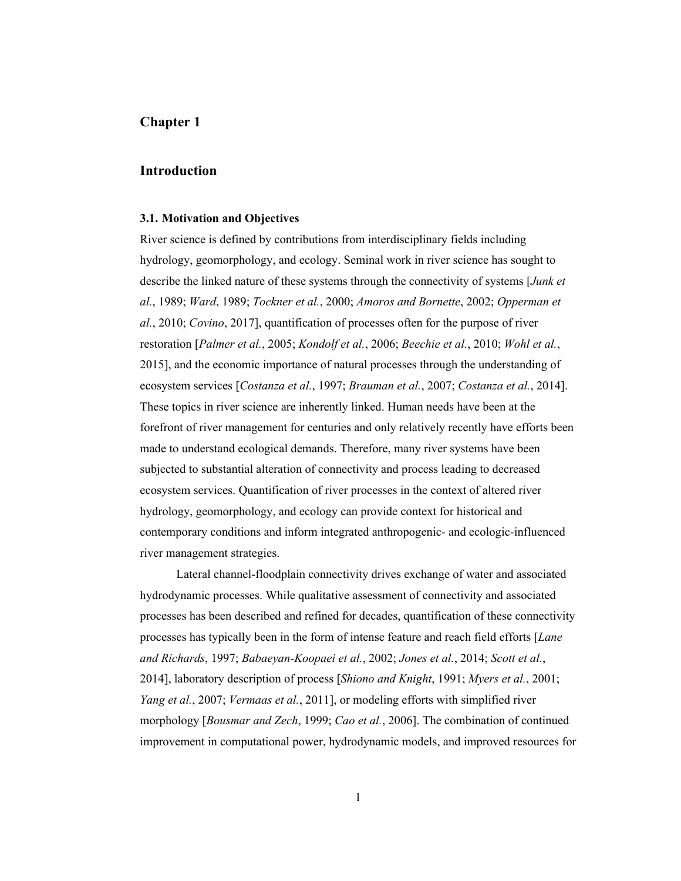# **Chapter 1**

## **Introduction**

### **3.1. Motivation and Objectives**

River science is defined by contributions from interdisciplinary fields including hydrology, geomorphology, and ecology. Seminal work in river science has sought to describe the linked nature of these systems through the connectivity of systems [*Junk et al.*, 1989; *Ward*, 1989; *Tockner et al.*, 2000; *Amoros and Bornette*, 2002; *Opperman et al.*, 2010; *Covino*, 2017], quantification of processes often for the purpose of river restoration [*Palmer et al.*, 2005; *Kondolf et al.*, 2006; *Beechie et al.*, 2010; *Wohl et al.*, 2015], and the economic importance of natural processes through the understanding of ecosystem services [*Costanza et al.*, 1997; *Brauman et al.*, 2007; *Costanza et al.*, 2014]. These topics in river science are inherently linked. Human needs have been at the forefront of river management for centuries and only relatively recently have efforts been made to understand ecological demands. Therefore, many river systems have been subjected to substantial alteration of connectivity and process leading to decreased ecosystem services. Quantification of river processes in the context of altered river hydrology, geomorphology, and ecology can provide context for historical and contemporary conditions and inform integrated anthropogenic- and ecologic-influenced river management strategies.

Lateral channel-floodplain connectivity drives exchange of water and associated hydrodynamic processes. While qualitative assessment of connectivity and associated processes has been described and refined for decades, quantification of these connectivity processes has typically been in the form of intense feature and reach field efforts [*Lane and Richards*, 1997; *Babaeyan-Koopaei et al.*, 2002; *Jones et al.*, 2014; *Scott et al.*, 2014], laboratory description of process [*Shiono and Knight*, 1991; *Myers et al.*, 2001; *Yang et al.*, 2007; *Vermaas et al.*, 2011], or modeling efforts with simplified river morphology [*Bousmar and Zech*, 1999; *Cao et al.*, 2006]. The combination of continued improvement in computational power, hydrodynamic models, and improved resources for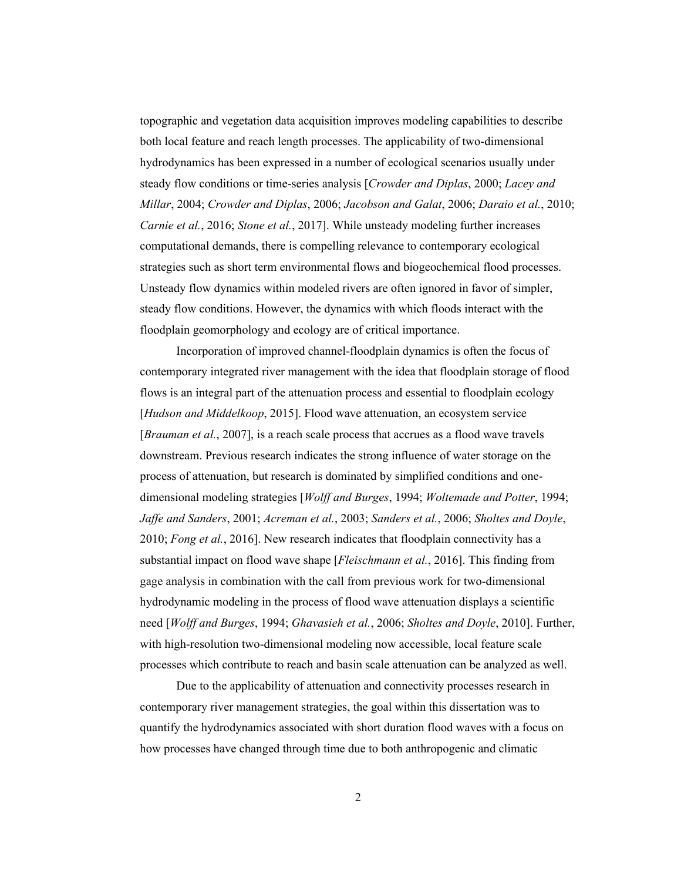topographic and vegetation data acquisition improves modeling capabilities to describe both local feature and reach length processes. The applicability of two-dimensional hydrodynamics has been expressed in a number of ecological scenarios usually under steady flow conditions or time-series analysis [*Crowder and Diplas*, 2000; *Lacey and Millar*, 2004; *Crowder and Diplas*, 2006; *Jacobson and Galat*, 2006; *Daraio et al.*, 2010; *Carnie et al.*, 2016; *Stone et al.*, 2017]. While unsteady modeling further increases computational demands, there is compelling relevance to contemporary ecological strategies such as short term environmental flows and biogeochemical flood processes. Unsteady flow dynamics within modeled rivers are often ignored in favor of simpler, steady flow conditions. However, the dynamics with which floods interact with the floodplain geomorphology and ecology are of critical importance.

Incorporation of improved channel-floodplain dynamics is often the focus of contemporary integrated river management with the idea that floodplain storage of flood flows is an integral part of the attenuation process and essential to floodplain ecology [*Hudson and Middelkoop*, 2015]. Flood wave attenuation, an ecosystem service [*Brauman et al.*, 2007], is a reach scale process that accrues as a flood wave travels downstream. Previous research indicates the strong influence of water storage on the process of attenuation, but research is dominated by simplified conditions and onedimensional modeling strategies [*Wolff and Burges*, 1994; *Woltemade and Potter*, 1994; *Jaffe and Sanders*, 2001; *Acreman et al.*, 2003; *Sanders et al.*, 2006; *Sholtes and Doyle*, 2010; *Fong et al.*, 2016]. New research indicates that floodplain connectivity has a substantial impact on flood wave shape [*Fleischmann et al.*, 2016]. This finding from gage analysis in combination with the call from previous work for two-dimensional hydrodynamic modeling in the process of flood wave attenuation displays a scientific need [*Wolff and Burges*, 1994; *Ghavasieh et al.*, 2006; *Sholtes and Doyle*, 2010]. Further, with high-resolution two-dimensional modeling now accessible, local feature scale processes which contribute to reach and basin scale attenuation can be analyzed as well.

Due to the applicability of attenuation and connectivity processes research in contemporary river management strategies, the goal within this dissertation was to quantify the hydrodynamics associated with short duration flood waves with a focus on how processes have changed through time due to both anthropogenic and climatic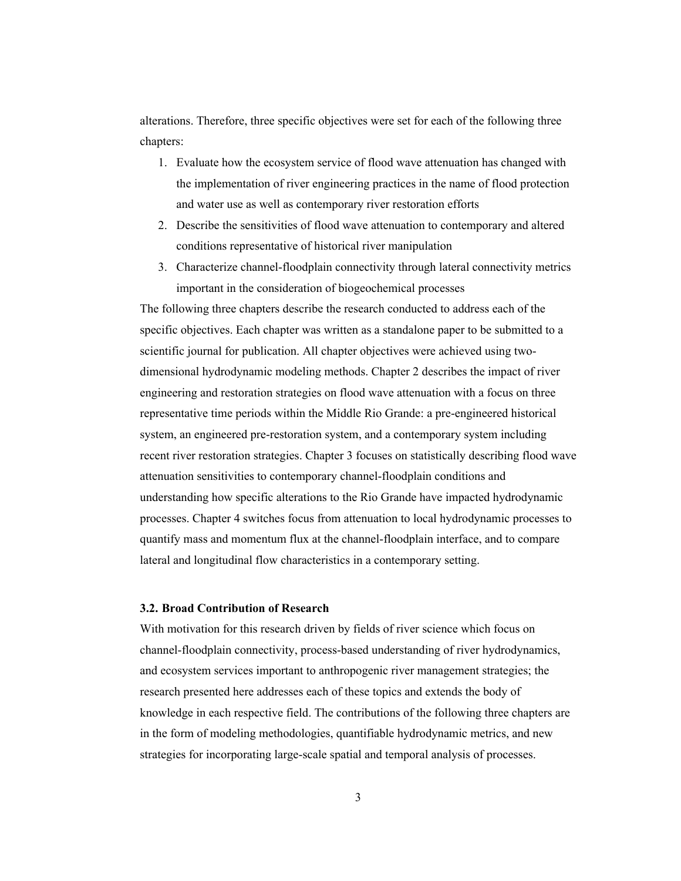alterations. Therefore, three specific objectives were set for each of the following three chapters:

- 1. Evaluate how the ecosystem service of flood wave attenuation has changed with the implementation of river engineering practices in the name of flood protection and water use as well as contemporary river restoration efforts
- 2. Describe the sensitivities of flood wave attenuation to contemporary and altered conditions representative of historical river manipulation
- 3. Characterize channel-floodplain connectivity through lateral connectivity metrics important in the consideration of biogeochemical processes

The following three chapters describe the research conducted to address each of the specific objectives. Each chapter was written as a standalone paper to be submitted to a scientific journal for publication. All chapter objectives were achieved using twodimensional hydrodynamic modeling methods. Chapter 2 describes the impact of river engineering and restoration strategies on flood wave attenuation with a focus on three representative time periods within the Middle Rio Grande: a pre-engineered historical system, an engineered pre-restoration system, and a contemporary system including recent river restoration strategies. Chapter 3 focuses on statistically describing flood wave attenuation sensitivities to contemporary channel-floodplain conditions and understanding how specific alterations to the Rio Grande have impacted hydrodynamic processes. Chapter 4 switches focus from attenuation to local hydrodynamic processes to quantify mass and momentum flux at the channel-floodplain interface, and to compare lateral and longitudinal flow characteristics in a contemporary setting.

## **3.2. Broad Contribution of Research**

With motivation for this research driven by fields of river science which focus on channel-floodplain connectivity, process-based understanding of river hydrodynamics, and ecosystem services important to anthropogenic river management strategies; the research presented here addresses each of these topics and extends the body of knowledge in each respective field. The contributions of the following three chapters are in the form of modeling methodologies, quantifiable hydrodynamic metrics, and new strategies for incorporating large-scale spatial and temporal analysis of processes.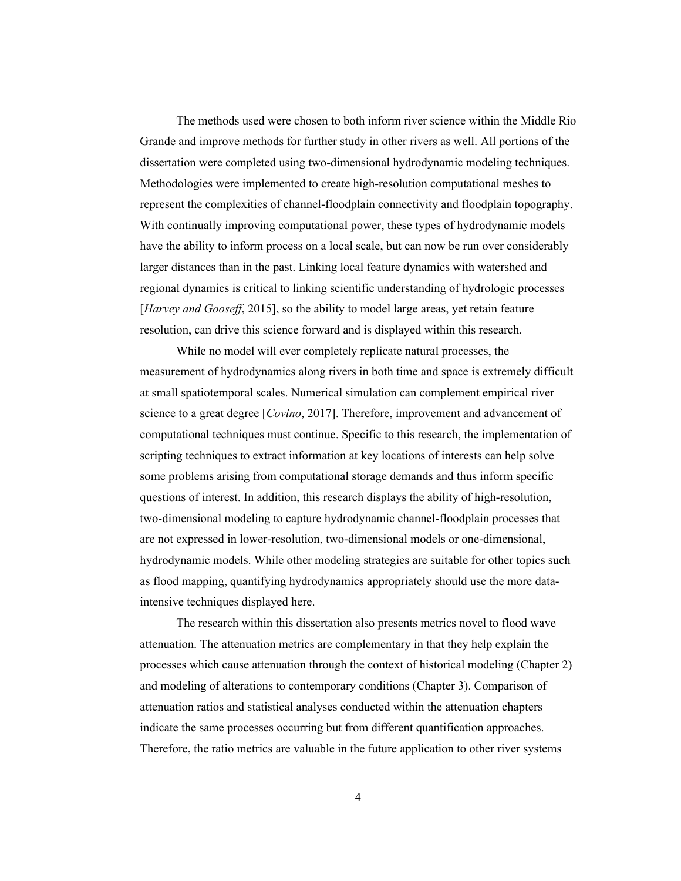The methods used were chosen to both inform river science within the Middle Rio Grande and improve methods for further study in other rivers as well. All portions of the dissertation were completed using two-dimensional hydrodynamic modeling techniques. Methodologies were implemented to create high-resolution computational meshes to represent the complexities of channel-floodplain connectivity and floodplain topography. With continually improving computational power, these types of hydrodynamic models have the ability to inform process on a local scale, but can now be run over considerably larger distances than in the past. Linking local feature dynamics with watershed and regional dynamics is critical to linking scientific understanding of hydrologic processes [*Harvey and Gooseff*, 2015], so the ability to model large areas, yet retain feature resolution, can drive this science forward and is displayed within this research.

While no model will ever completely replicate natural processes, the measurement of hydrodynamics along rivers in both time and space is extremely difficult at small spatiotemporal scales. Numerical simulation can complement empirical river science to a great degree [*Covino*, 2017]. Therefore, improvement and advancement of computational techniques must continue. Specific to this research, the implementation of scripting techniques to extract information at key locations of interests can help solve some problems arising from computational storage demands and thus inform specific questions of interest. In addition, this research displays the ability of high-resolution, two-dimensional modeling to capture hydrodynamic channel-floodplain processes that are not expressed in lower-resolution, two-dimensional models or one-dimensional, hydrodynamic models. While other modeling strategies are suitable for other topics such as flood mapping, quantifying hydrodynamics appropriately should use the more dataintensive techniques displayed here.

The research within this dissertation also presents metrics novel to flood wave attenuation. The attenuation metrics are complementary in that they help explain the processes which cause attenuation through the context of historical modeling (Chapter 2) and modeling of alterations to contemporary conditions (Chapter 3). Comparison of attenuation ratios and statistical analyses conducted within the attenuation chapters indicate the same processes occurring but from different quantification approaches. Therefore, the ratio metrics are valuable in the future application to other river systems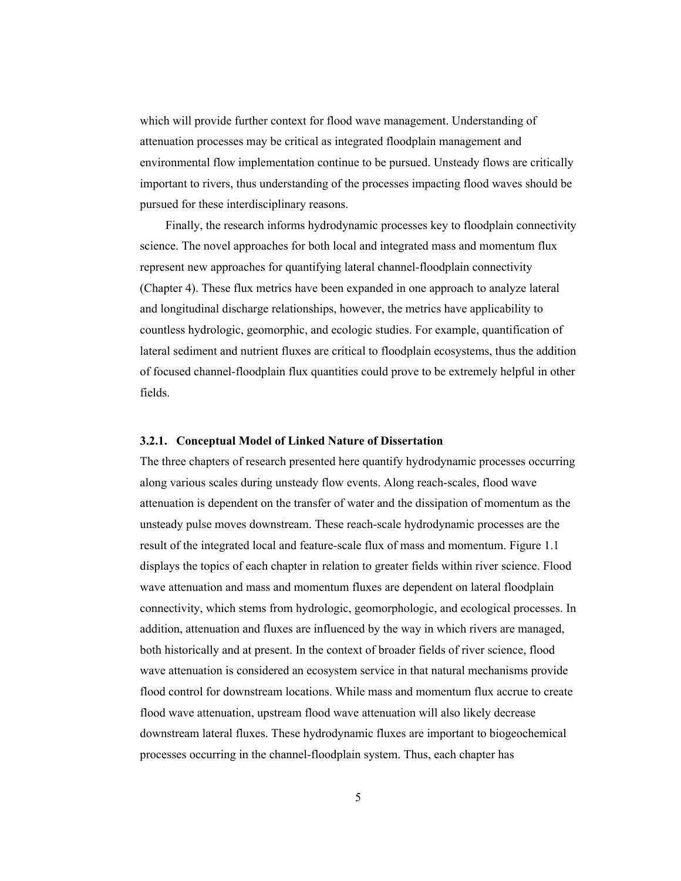which will provide further context for flood wave management. Understanding of attenuation processes may be critical as integrated floodplain management and environmental flow implementation continue to be pursued. Unsteady flows are critically important to rivers, thus understanding of the processes impacting flood waves should be pursued for these interdisciplinary reasons.

Finally, the research informs hydrodynamic processes key to floodplain connectivity science. The novel approaches for both local and integrated mass and momentum flux represent new approaches for quantifying lateral channel-floodplain connectivity (Chapter 4). These flux metrics have been expanded in one approach to analyze lateral and longitudinal discharge relationships, however, the metrics have applicability to countless hydrologic, geomorphic, and ecologic studies. For example, quantification of lateral sediment and nutrient fluxes are critical to floodplain ecosystems, thus the addition of focused channel-floodplain flux quantities could prove to be extremely helpful in other fields.

#### **3.2.1. Conceptual Model of Linked Nature of Dissertation**

The three chapters of research presented here quantify hydrodynamic processes occurring along various scales during unsteady flow events. Along reach-scales, flood wave attenuation is dependent on the transfer of water and the dissipation of momentum as the unsteady pulse moves downstream. These reach-scale hydrodynamic processes are the result of the integrated local and feature-scale flux of mass and momentum. Figure 1.1 displays the topics of each chapter in relation to greater fields within river science. Flood wave attenuation and mass and momentum fluxes are dependent on lateral floodplain connectivity, which stems from hydrologic, geomorphologic, and ecological processes. In addition, attenuation and fluxes are influenced by the way in which rivers are managed, both historically and at present. In the context of broader fields of river science, flood wave attenuation is considered an ecosystem service in that natural mechanisms provide flood control for downstream locations. While mass and momentum flux accrue to create flood wave attenuation, upstream flood wave attenuation will also likely decrease downstream lateral fluxes. These hydrodynamic fluxes are important to biogeochemical processes occurring in the channel-floodplain system. Thus, each chapter has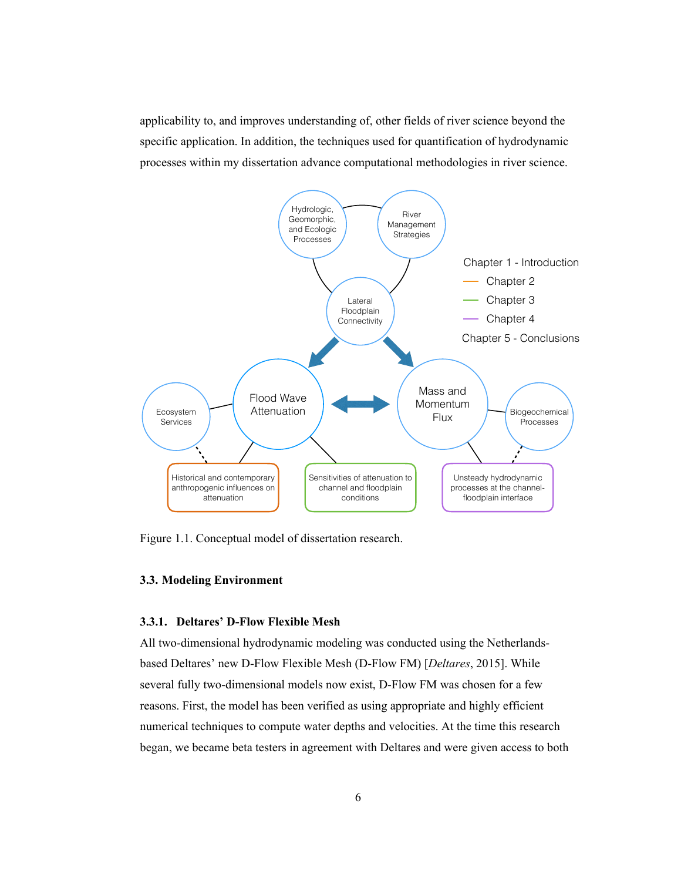applicability to, and improves understanding of, other fields of river science beyond the specific application. In addition, the techniques used for quantification of hydrodynamic processes within my dissertation advance computational methodologies in river science.



Figure 1.1. Conceptual model of dissertation research.

## **3.3. Modeling Environment**

## **3.3.1. Deltares' D-Flow Flexible Mesh**

All two-dimensional hydrodynamic modeling was conducted using the Netherlandsbased Deltares' new D-Flow Flexible Mesh (D-Flow FM) [*Deltares*, 2015]. While several fully two-dimensional models now exist, D-Flow FM was chosen for a few reasons. First, the model has been verified as using appropriate and highly efficient numerical techniques to compute water depths and velocities. At the time this research began, we became beta testers in agreement with Deltares and were given access to both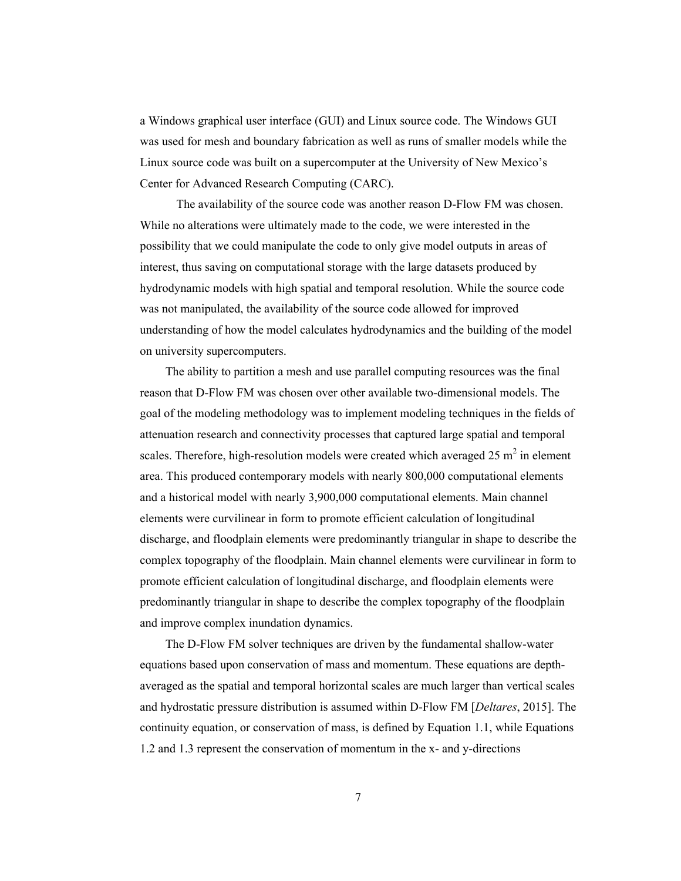a Windows graphical user interface (GUI) and Linux source code. The Windows GUI was used for mesh and boundary fabrication as well as runs of smaller models while the Linux source code was built on a supercomputer at the University of New Mexico's Center for Advanced Research Computing (CARC).

The availability of the source code was another reason D-Flow FM was chosen. While no alterations were ultimately made to the code, we were interested in the possibility that we could manipulate the code to only give model outputs in areas of interest, thus saving on computational storage with the large datasets produced by hydrodynamic models with high spatial and temporal resolution. While the source code was not manipulated, the availability of the source code allowed for improved understanding of how the model calculates hydrodynamics and the building of the model on university supercomputers.

The ability to partition a mesh and use parallel computing resources was the final reason that D-Flow FM was chosen over other available two-dimensional models. The goal of the modeling methodology was to implement modeling techniques in the fields of attenuation research and connectivity processes that captured large spatial and temporal scales. Therefore, high-resolution models were created which averaged 25  $m<sup>2</sup>$  in element area. This produced contemporary models with nearly 800,000 computational elements and a historical model with nearly 3,900,000 computational elements. Main channel elements were curvilinear in form to promote efficient calculation of longitudinal discharge, and floodplain elements were predominantly triangular in shape to describe the complex topography of the floodplain. Main channel elements were curvilinear in form to promote efficient calculation of longitudinal discharge, and floodplain elements were predominantly triangular in shape to describe the complex topography of the floodplain and improve complex inundation dynamics.

The D-Flow FM solver techniques are driven by the fundamental shallow-water equations based upon conservation of mass and momentum. These equations are depthaveraged as the spatial and temporal horizontal scales are much larger than vertical scales and hydrostatic pressure distribution is assumed within D-Flow FM [*Deltares*, 2015]. The continuity equation, or conservation of mass, is defined by Equation 1.1, while Equations 1.2 and 1.3 represent the conservation of momentum in the x- and y-directions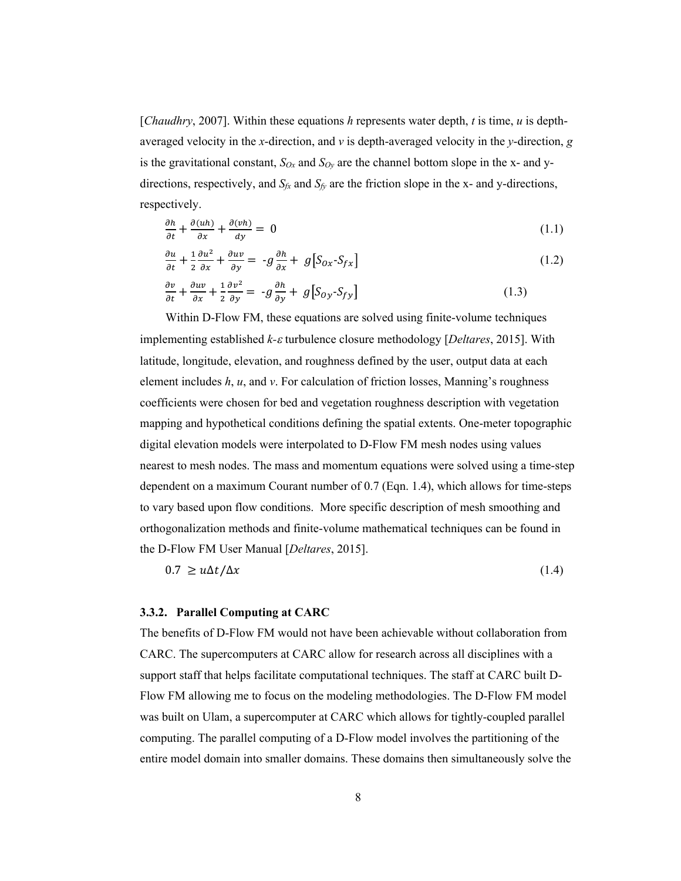[*Chaudhry*, 2007]. Within these equations *h* represents water depth, *t* is time, *u* is depthaveraged velocity in the *x*-direction, and *v* is depth-averaged velocity in the *y*-direction, *g* is the gravitational constant,  $S_{Ox}$  and  $S_{Oy}$  are the channel bottom slope in the x- and ydirections, respectively, and  $S_f$  and  $S_f$  are the friction slope in the x- and y-directions, respectively.

$$
\frac{\partial h}{\partial t} + \frac{\partial (uh)}{\partial x} + \frac{\partial (vh)}{\partial y} = 0 \tag{1.1}
$$

$$
\frac{\partial u}{\partial t} + \frac{1}{2} \frac{\partial u^2}{\partial x} + \frac{\partial uv}{\partial y} = -g \frac{\partial h}{\partial x} + g \left[ S_{0x} - S_{fx} \right] \tag{1.2}
$$

$$
\frac{\partial v}{\partial t} + \frac{\partial uv}{\partial x} + \frac{1}{2} \frac{\partial v^2}{\partial y} = -g \frac{\partial h}{\partial y} + g \left[ S_{0y} - S_{fy} \right]
$$
(1.3)

Within D-Flow FM, these equations are solved using finite-volume techniques implementing established *k-*<sup>e</sup> turbulence closure methodology [*Deltares*, 2015]. With latitude, longitude, elevation, and roughness defined by the user, output data at each element includes *h*, *u*, and *v*. For calculation of friction losses, Manning's roughness coefficients were chosen for bed and vegetation roughness description with vegetation mapping and hypothetical conditions defining the spatial extents. One-meter topographic digital elevation models were interpolated to D-Flow FM mesh nodes using values nearest to mesh nodes. The mass and momentum equations were solved using a time-step dependent on a maximum Courant number of 0.7 (Eqn. 1.4), which allows for time-steps to vary based upon flow conditions. More specific description of mesh smoothing and orthogonalization methods and finite-volume mathematical techniques can be found in the D-Flow FM User Manual [*Deltares*, 2015].

$$
0.7 \ge u\Delta t/\Delta x \tag{1.4}
$$

#### **3.3.2. Parallel Computing at CARC**

The benefits of D-Flow FM would not have been achievable without collaboration from CARC. The supercomputers at CARC allow for research across all disciplines with a support staff that helps facilitate computational techniques. The staff at CARC built D-Flow FM allowing me to focus on the modeling methodologies. The D-Flow FM model was built on Ulam, a supercomputer at CARC which allows for tightly-coupled parallel computing. The parallel computing of a D-Flow model involves the partitioning of the entire model domain into smaller domains. These domains then simultaneously solve the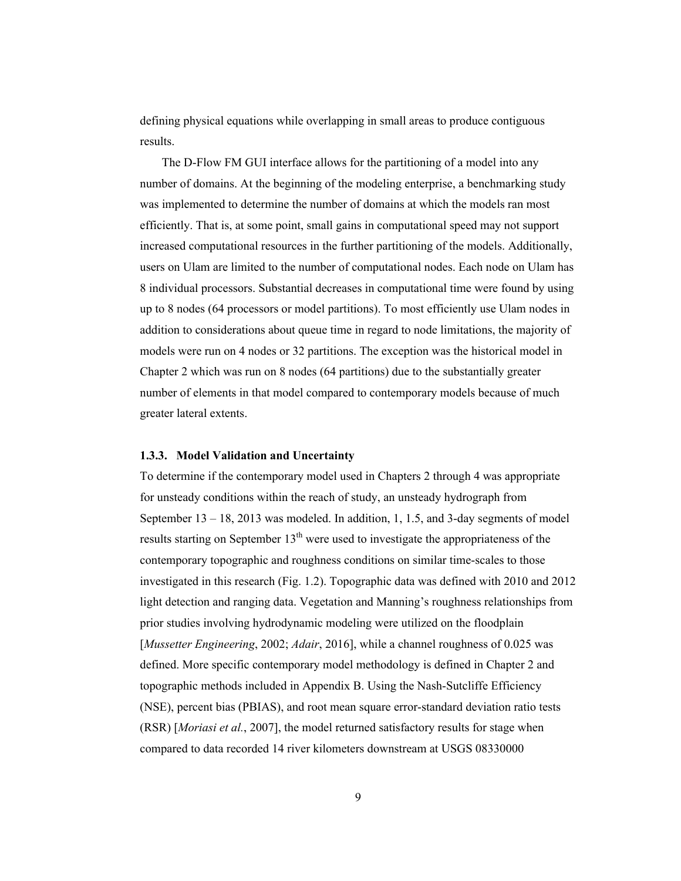defining physical equations while overlapping in small areas to produce contiguous results.

The D-Flow FM GUI interface allows for the partitioning of a model into any number of domains. At the beginning of the modeling enterprise, a benchmarking study was implemented to determine the number of domains at which the models ran most efficiently. That is, at some point, small gains in computational speed may not support increased computational resources in the further partitioning of the models. Additionally, users on Ulam are limited to the number of computational nodes. Each node on Ulam has 8 individual processors. Substantial decreases in computational time were found by using up to 8 nodes (64 processors or model partitions). To most efficiently use Ulam nodes in addition to considerations about queue time in regard to node limitations, the majority of models were run on 4 nodes or 32 partitions. The exception was the historical model in Chapter 2 which was run on 8 nodes (64 partitions) due to the substantially greater number of elements in that model compared to contemporary models because of much greater lateral extents.

## **1.3.3. Model Validation and Uncertainty**

To determine if the contemporary model used in Chapters 2 through 4 was appropriate for unsteady conditions within the reach of study, an unsteady hydrograph from September  $13 - 18$ , 2013 was modeled. In addition, 1, 1.5, and 3-day segments of model results starting on September  $13<sup>th</sup>$  were used to investigate the appropriateness of the contemporary topographic and roughness conditions on similar time-scales to those investigated in this research (Fig. 1.2). Topographic data was defined with 2010 and 2012 light detection and ranging data. Vegetation and Manning's roughness relationships from prior studies involving hydrodynamic modeling were utilized on the floodplain [*Mussetter Engineering*, 2002; *Adair*, 2016], while a channel roughness of 0.025 was defined. More specific contemporary model methodology is defined in Chapter 2 and topographic methods included in Appendix B. Using the Nash-Sutcliffe Efficiency (NSE), percent bias (PBIAS), and root mean square error-standard deviation ratio tests (RSR) [*Moriasi et al.*, 2007], the model returned satisfactory results for stage when compared to data recorded 14 river kilometers downstream at USGS 08330000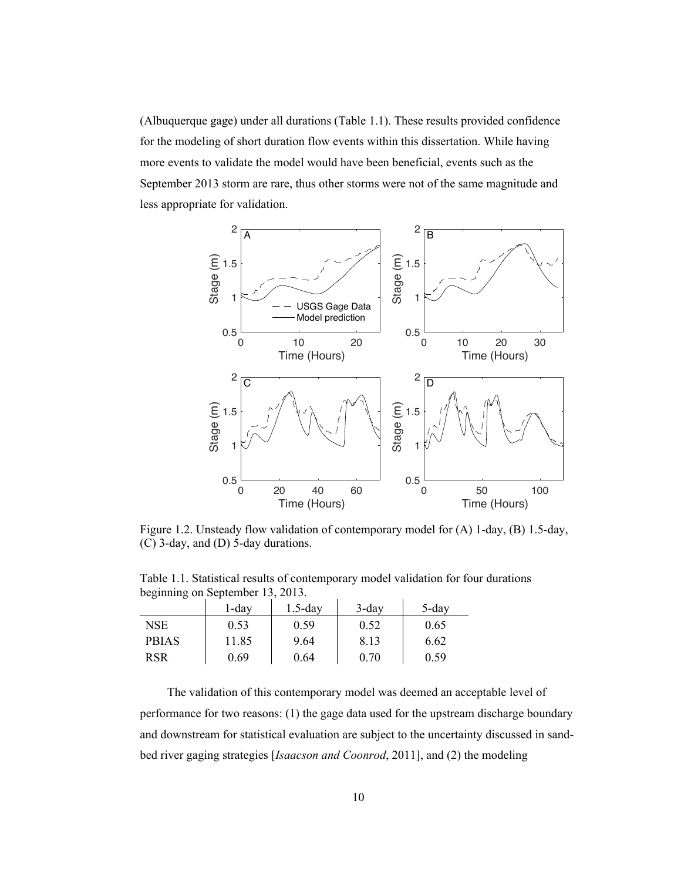(Albuquerque gage) under all durations (Table 1.1). These results provided confidence for the modeling of short duration flow events within this dissertation. While having more events to validate the model would have been beneficial, events such as the September 2013 storm are rare, thus other storms were not of the same magnitude and less appropriate for validation.



Figure 1.2. Unsteady flow validation of contemporary model for (A) 1-day, (B) 1.5-day, (C) 3-day, and (D) 5-day durations.

Table 1.1. Statistical results of contemporary model validation for four durations beginning on September 13, 2013.

| ັ            |          |            |          |          |
|--------------|----------|------------|----------|----------|
|              | $1$ -day | $1.5$ -day | $3$ -day | $5$ -day |
| NSE.         | 0.53     | 0.59       | 0.52     | 0.65     |
| <b>PBIAS</b> | 11.85    | 9.64       | 8.13     | 6.62     |
| <b>RSR</b>   | 0.69     | 0.64       | 0.70     | 0.59     |

The validation of this contemporary model was deemed an acceptable level of performance for two reasons: (1) the gage data used for the upstream discharge boundary and downstream for statistical evaluation are subject to the uncertainty discussed in sandbed river gaging strategies [*Isaacson and Coonrod*, 2011], and (2) the modeling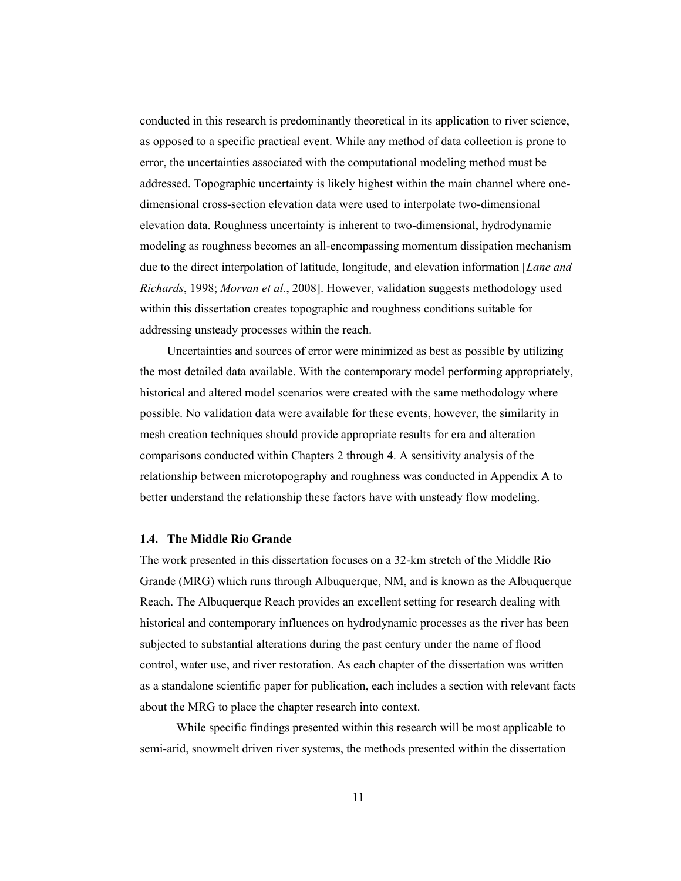conducted in this research is predominantly theoretical in its application to river science, as opposed to a specific practical event. While any method of data collection is prone to error, the uncertainties associated with the computational modeling method must be addressed. Topographic uncertainty is likely highest within the main channel where onedimensional cross-section elevation data were used to interpolate two-dimensional elevation data. Roughness uncertainty is inherent to two-dimensional, hydrodynamic modeling as roughness becomes an all-encompassing momentum dissipation mechanism due to the direct interpolation of latitude, longitude, and elevation information [*Lane and Richards*, 1998; *Morvan et al.*, 2008]. However, validation suggests methodology used within this dissertation creates topographic and roughness conditions suitable for addressing unsteady processes within the reach.

Uncertainties and sources of error were minimized as best as possible by utilizing the most detailed data available. With the contemporary model performing appropriately, historical and altered model scenarios were created with the same methodology where possible. No validation data were available for these events, however, the similarity in mesh creation techniques should provide appropriate results for era and alteration comparisons conducted within Chapters 2 through 4. A sensitivity analysis of the relationship between microtopography and roughness was conducted in Appendix A to better understand the relationship these factors have with unsteady flow modeling.

#### **1.4. The Middle Rio Grande**

The work presented in this dissertation focuses on a 32-km stretch of the Middle Rio Grande (MRG) which runs through Albuquerque, NM, and is known as the Albuquerque Reach. The Albuquerque Reach provides an excellent setting for research dealing with historical and contemporary influences on hydrodynamic processes as the river has been subjected to substantial alterations during the past century under the name of flood control, water use, and river restoration. As each chapter of the dissertation was written as a standalone scientific paper for publication, each includes a section with relevant facts about the MRG to place the chapter research into context.

While specific findings presented within this research will be most applicable to semi-arid, snowmelt driven river systems, the methods presented within the dissertation